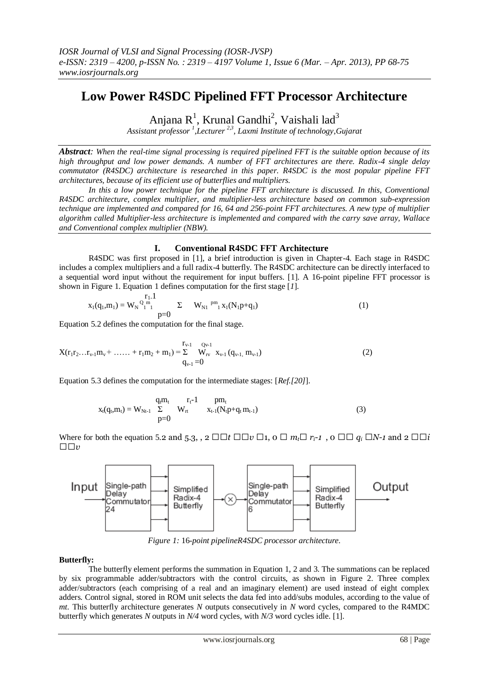# **Low Power R4SDC Pipelined FFT Processor Architecture**

Anjana R<sup>1</sup>, Krunal Gandhi<sup>2</sup>, Vaishali lad<sup>3</sup>

*Assistant professor <sup>1</sup> ,Lecturer 2,3 , Laxmi Institute of technology,Gujarat*

*Abstract: When the real-time signal processing is required pipelined FFT is the suitable option because of its high throughput and low power demands. A number of FFT architectures are there. Radix-4 single delay commutator (R4SDC) architecture is researched in this paper. R4SDC is the most popular pipeline FFT architectures, because of its efficient use of butterflies and multipliers.*

*In this a low power technique for the pipeline FFT architecture is discussed. In this, Conventional R4SDC architecture, complex multiplier, and multiplier-less architecture based on common sub-expression technique are implemented and compared for 16, 64 and 256-point FFT architectures. A new type of multiplier algorithm called Multiplier-less architecture is implemented and compared with the carry save array, Wallace and Conventional complex multiplier (NBW).*

### **I. Conventional R4SDC FFT Architecture**

R4SDC was first proposed in [1], a brief introduction is given in Chapter-4. Each stage in R4SDC includes a complex multipliers and a full radix-4 butterfly. The R4SDC architecture can be directly interfaced to a sequential word input without the requirement for input buffers. [1]. A 16-point pipeline FFT processor is shown in Figure 1. Equation 1 defines computation for the first stage [*1*].

$$
x_1(q_1, m_1) = W_N^{\mathcal{Q}_{11}^{\mathcal{Q}_{11}}} \sum_{p=0}^{r_1,1} X_1(W_1 p + q_1)
$$
 (1)

Equation 5.2 defines the computation for the final stage.

$$
X(r_1r_2...r_{v-1}m_v+......+r_1m_2+m_1) = \sum_{q_{v-1}}^{r_{v-1}} \frac{Q_{v-1}}{W_{rv}} x_{v-1} (q_{v-1, m_{v-1}})
$$
(2)

Equation 5.3 defines the computation for the intermediate stages: [*Ref.[20]*].

$$
x_{t}(q_{t}, m_{t}) = W_{Nt-1} \sum_{p=0}^{q_{t}m_{t}} W_{rt} \frac{r_{t} - 1}{x_{t-1}(N_{t}p + q_{t}m_{t-1})}
$$
(3)

Where for both the equation 5.2 and 5.3, , 2  $\Box$   $\Box$   $t \Box \Box v \Box$  1, 0  $\Box$   $m_t \Box$   $r_t$  , 0  $\Box$   $\Box$   $q_i \Box N$ -1 and 2  $\Box$   $\Box$  *i*  $\square \square v$ 



*Figure 1:* 16*-point pipelineR4SDC processor architecture.*

#### **Butterfly:**

The butterfly element performs the summation in Equation 1, 2 and 3. The summations can be replaced by six programmable adder/subtractors with the control circuits, as shown in Figure 2. Three complex adder/subtractors (each comprising of a real and an imaginary element) are used instead of eight complex adders. Control signal, stored in ROM unit selects the data fed into add/subs modules, according to the value of *mt.* This butterfly architecture generates *N* outputs consecutively in *N* word cycles, compared to the R4MDC butterfly which generates *N* outputs in *N/4* word cycles, with *N/3* word cycles idle. [1].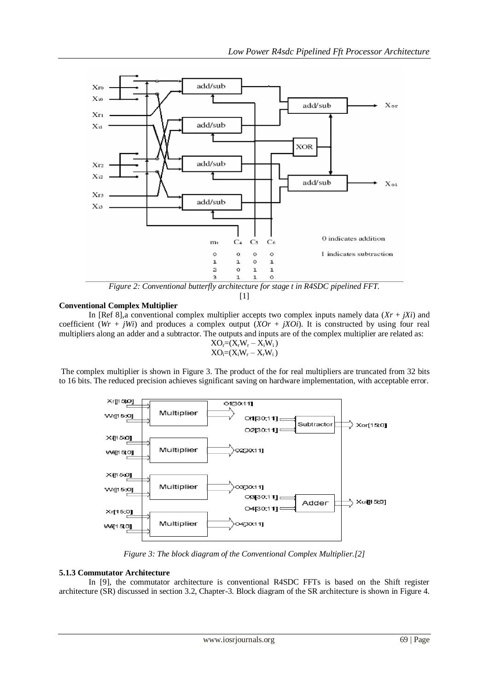

### **Conventional Complex Multiplier**

In [Ref 8],a conventional complex multiplier accepts two complex inputs namely data  $(Xr + jXi)$  and coefficient  $(Wr + jWi)$  and produces a complex output  $(XOr + jXOi)$ . It is constructed by using four real multipliers along an adder and a subtractor. The outputs and inputs are of the complex multiplier are related as:

$$
XO_r=(X_rW_r-X_iW_i)
$$
  

$$
XO_i=(X_iW_r-X_rW_i)
$$

The complex multiplier is shown in Figure 3. The product of the for real multipliers are truncated from 32 bits to 16 bits. The reduced precision achieves significant saving on hardware implementation, with acceptable error.



*Figure 3: The block diagram of the Conventional Complex Multiplier.[2]*

#### **5.1.3 Commutator Architecture**

In [9], the commutator architecture is conventional R4SDC FFTs is based on the Shift register architecture (SR) discussed in section 3.2, Chapter-3. Block diagram of the SR architecture is shown in Figure 4.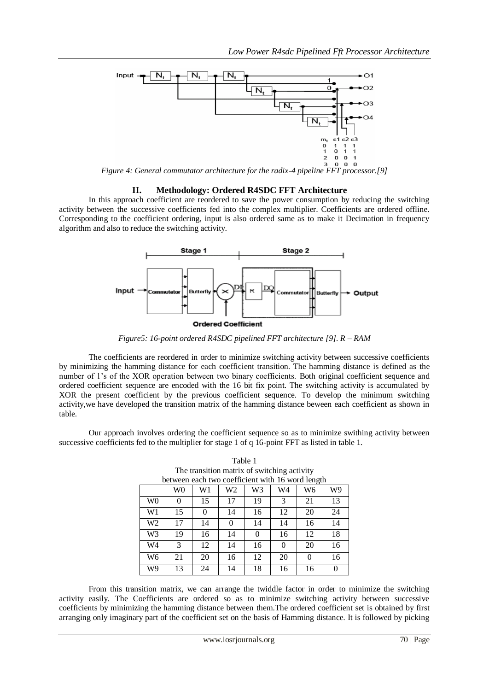

*Figure 4: General commutator architecture for the radix-4 pipeline FFT processor.[9]*

#### **II. Methodology: Ordered R4SDC FFT Architecture**

In this approach coefficient are reordered to save the power consumption by reducing the switching activity between the successive coefficients fed into the complex multiplier. Coefficients are ordered offline. Corresponding to the coefficient ordering, input is also ordered same as to make it Decimation in frequency algorithm and also to reduce the switching activity.



*Figure5: 16-point ordered R4SDC pipelined FFT architecture [9]. R – RAM*

The coefficients are reordered in order to minimize switching activity between successive coefficients by minimizing the hamming distance for each coefficient transition. The hamming distance is defined as the number of 1's of the XOR operation between two binary coefficients. Both original coefficient sequence and ordered coefficient sequence are encoded with the 16 bit fix point. The switching activity is accumulated by XOR the present coefficient by the previous coefficient sequence. To develop the minimum switching activity,we have developed the transition matrix of the hamming distance beween each coefficient as shown in table.

Our approach involves ordering the coefficient sequence so as to minimize swithing activity between successive coefficients fed to the multiplier for stage 1 of q 16-point FFT as listed in table 1.

|                | between each two coefficient with 16 word length |    |    |    |    |    |    |  |
|----------------|--------------------------------------------------|----|----|----|----|----|----|--|
|                | W0                                               | W1 | W2 | W3 | W4 | W6 | W9 |  |
| W <sub>0</sub> |                                                  | 15 | 17 | 19 | 3  | 21 | 13 |  |
| W1             | 15                                               |    | 14 | 16 | 12 | 20 | 24 |  |
| W <sub>2</sub> | 17                                               | 14 | 0  | 14 | 14 | 16 | 14 |  |
| W3             | 19                                               | 16 | 14 | 0  | 16 | 12 | 18 |  |
| W4             | 3                                                | 12 | 14 | 16 |    | 20 | 16 |  |
| W <sub>6</sub> | 21                                               | 20 | 16 | 12 | 20 | 0  | 16 |  |
| W9             | 13                                               | 24 | 14 | 18 | 16 | 16 |    |  |

Table 1 The transition matrix of switching activity

From this transition matrix, we can arrange the twiddle factor in order to minimize the switching activity easily. The Coefficients are ordered so as to minimize switching activity between successive coefficients by minimizing the hamming distance between them.The ordered coefficient set is obtained by first arranging only imaginary part of the coefficient set on the basis of Hamming distance. It is followed by picking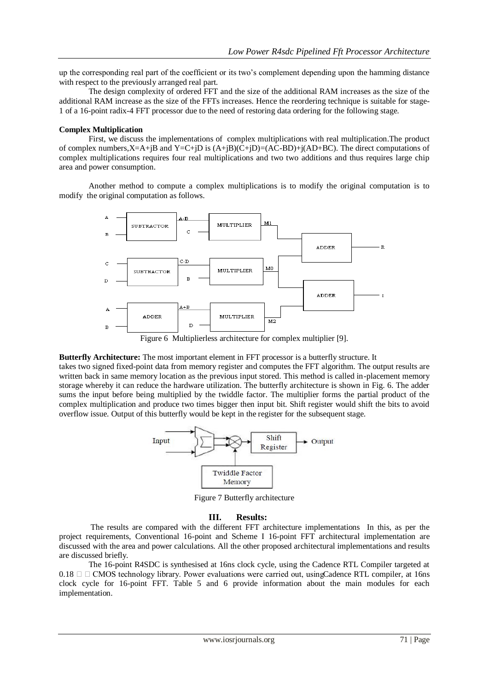up the corresponding real part of the coefficient or its two's complement depending upon the hamming distance with respect to the previously arranged real part.

The design complexity of ordered FFT and the size of the additional RAM increases as the size of the additional RAM increase as the size of the FFTs increases. Hence the reordering technique is suitable for stage-1 of a 16-point radix-4 FFT processor due to the need of restoring data ordering for the following stage.

#### **Complex Multiplication**

First, we discuss the implementations of complex multiplications with real multiplication. The product of complex numbers,  $X=A+iB$  and  $Y=C+iD$  is  $(A+iB)(C+iD)=(AC-BD)+i(AD+BC)$ . The direct computations of complex multiplications requires four real multiplications and two two additions and thus requires large chip area and power consumption.

Another method to compute a complex multiplications is to modify the original computation is to modify the original computation as follows.



Figure 6 Multiplierless architecture for complex multiplier [9].

**Butterfly Architecture:** The most important element in FFT processor is a butterfly structure. It

takes two signed fixed-point data from memory register and computes the FFT algorithm. The output results are written back in same memory location as the previous input stored. This method is called in-placement memory storage whereby it can reduce the hardware utilization. The butterfly architecture is shown in Fig. 6. The adder sums the input before being multiplied by the twiddle factor. The multiplier forms the partial product of the complex multiplication and produce two times bigger then input bit. Shift register would shift the bits to avoid overflow issue. Output of this butterfly would be kept in the register for the subsequent stage.



Figure 7 Butterfly architecture

### **III. Results:**

The results are compared with the different FFT architecture implementations In this, as per the project requirements, Conventional 16-point and Scheme I 16-point FFT architectural implementation are discussed with the area and power calculations. All the other proposed architectural implementations and results are discussed briefly.

The 16-point R4SDC is synthesised at 16ns clock cycle, using the Cadence RTL Compiler targeted at  $0.18 \Box$  CMOS technology library. Power evaluations were carried out, using Cadence RTL compiler, at 16ns clock cycle for 16-point FFT. Table 5 and 6 provide information about the main modules for each implementation.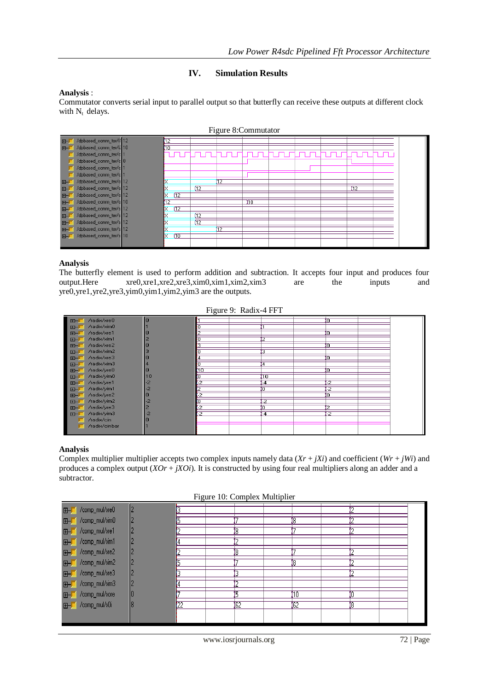## **IV. Simulation Results**

### **Analysis** :

Commutator converts serial input to parallel output so that butterfly can receive these outputs at different clock with  $N_t$  delays.

| Figure 8: Commutator |                         |  |                  |                 |                 |     |  |  |     |  |  |
|----------------------|-------------------------|--|------------------|-----------------|-----------------|-----|--|--|-----|--|--|
| F                    | /dpbased_comm_ter/i1 12 |  | 112              |                 |                 |     |  |  |     |  |  |
| F                    | /dpbased_comm_ter/i2 10 |  | $r_{10}$         |                 |                 |     |  |  |     |  |  |
|                      | /dpbased_comm_ter/c 1   |  |                  |                 |                 |     |  |  |     |  |  |
|                      | /dpbased_comm_ter/c 0   |  |                  |                 |                 |     |  |  |     |  |  |
|                      | /dpbased_comm_ter/c 1   |  |                  |                 |                 |     |  |  |     |  |  |
|                      | /dpbased_comm_ter/c 1   |  |                  |                 |                 |     |  |  |     |  |  |
| F                    | /dpbased_comm_ter/o 12  |  |                  |                 | $\overline{12}$ |     |  |  |     |  |  |
| F                    | /dpbased_comm_ter/o 12  |  |                  | IT <sub>2</sub> |                 |     |  |  | 112 |  |  |
| F                    | /dpbased_comm_ter/o 12  |  | $\sqrt{12}$      |                 |                 |     |  |  |     |  |  |
| F                    | /dpbased_comm_ter/o 10  |  | 112              |                 |                 | ΥTΟ |  |  |     |  |  |
| F                    | /dpbased_comm_ter/s 12  |  | $\sqrt{12}$<br>K |                 |                 |     |  |  |     |  |  |
| F                    | /dpbased_comm_ter/s 12  |  |                  | $\sqrt{12}$     |                 |     |  |  |     |  |  |
| F                    | /dpbased_comm_ter/s 12  |  |                  | $\sqrt{12}$     |                 |     |  |  |     |  |  |
| F                    | /dpbased_comm_ter/s 12  |  |                  |                 | 12              |     |  |  |     |  |  |
| F                    | /dpbased_comm_ter/s 10  |  | $\sqrt{10}$<br>k |                 |                 |     |  |  |     |  |  |
|                      |                         |  |                  |                 |                 |     |  |  |     |  |  |

### **Analysis**

The butterfly element is used to perform addition and subtraction. It accepts four input and produces four output.Here xre0,xre1,xre2,xre3,xim0,xim1,xim2,xim3 are the inputs and yre0,yre1,yre2,yre3,yim0,yim1,yim2,yim3 are the outputs.

| /radix/xre0<br>田 | Ιo |      |      | ΪO |  |
|------------------|----|------|------|----|--|
| /radix/xim0<br>田 |    |      |      |    |  |
| /radix/xre1<br>田 |    |      |      |    |  |
| /radix/xim1<br>田 |    |      |      |    |  |
| /radix/xre2<br>田 |    |      |      |    |  |
| /radix/xim2<br>田 |    |      |      |    |  |
| /radix/xre3<br>田 |    |      |      |    |  |
| /radix/xim3<br>田 |    |      |      |    |  |
| /radix/yre0<br>田 | ш  | t 10 |      |    |  |
| /radix/yim0<br>田 | 10 |      | ΪTΟ  |    |  |
| /radix/yre1<br>田 |    |      | $-4$ | 72 |  |
| /radix/yim1<br>田 |    |      |      | -2 |  |
| /radix/yre2<br>田 |    |      |      |    |  |
| /radix/yim2<br>田 |    |      | -2   |    |  |
| /radix/yre3<br>田 |    |      |      |    |  |
| /radix/yim3<br>田 |    |      | $-4$ | 52 |  |
| /radix/cin       |    |      |      |    |  |
| /radix/cinbar    |    |      |      |    |  |

### **Analysis**

Complex multiplier multiplier accepts two complex inputs namely data  $(Xr + jXi)$  and coefficient  $(Wr + jWi)$  and produces a complex output (*XOr* + *jXOi*). It is constructed by using four real multipliers along an adder and a subtractor.

| /comp_mul/xre0<br>F |    |    |     |  |
|---------------------|----|----|-----|--|
| /comp_mul/xim0<br>F |    |    |     |  |
| /comp_mul/xre1<br>F |    |    |     |  |
| /comp_mul/xim1<br>F |    |    |     |  |
| /comp_mul/xre2<br>F |    |    |     |  |
| /comp_mul/xim2<br>F |    |    |     |  |
| /comp_mul/xre3<br>F |    |    |     |  |
| /comp_mul/xim3<br>F |    |    |     |  |
| /comp_mul/xore<br>F |    |    | 10  |  |
| /comp_mul/x0i<br>F  | 18 | 62 | 162 |  |
|                     |    |    |     |  |

Figure 10: Complex Multiplier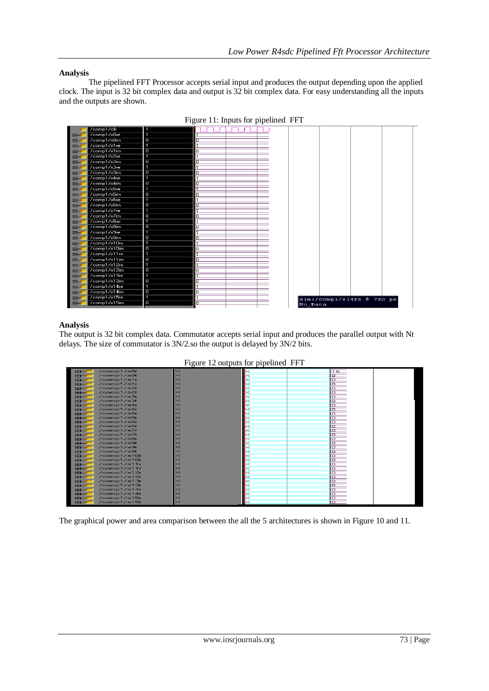### **Analysis**

The pipelined FFT Processor accepts serial input and produces the output depending upon the applied clock. The input is 32 bit complex data and output is 32 bit complex data. For easy understanding all the inputs and the outputs are shown.





### **Analysis**

The output is 32 bit complex data. Commutator accepts serial input and produces the parallel output with Nt delays. The size of commutator is 3N/2.so the output is delayed by 3N/2 bits.

|  | Figure 12 outputs for pipelined FFT |  |  |  |
|--|-------------------------------------|--|--|--|
|  |                                     |  |  |  |

| $E = -1$       | /comp1/a0r  |  | (16) |  |
|----------------|-------------|--|------|--|
| $F^{-}$        | /comp1/a0i  |  | ίs   |  |
| $E = -$        | /comp1/a1r  |  | σ    |  |
| $E = -$        | /comp1/a1i  |  | σ    |  |
| $F^{-}$        | /comp1/a2r  |  | σ    |  |
| $F^{-}$        | /comp1/a2i  |  | σ    |  |
| $E = -$        | /comp1/a3r  |  | σ    |  |
| $\Box$         | /comp1/a3i  |  | σ    |  |
| $F^{-}$        | /comp1/a4r  |  | σ    |  |
| $E = -$        | /comp1/a4i  |  | σ    |  |
| $E = -$        | /comp1/a5r  |  | σ    |  |
| $E = -1$       | /comp1/a5i  |  | σ    |  |
| $E = -$        | /comp1/a6r  |  | о    |  |
| $E = -$        | /comp1/a6i  |  | σ    |  |
| $F = -$        | /comp1/a7r  |  | σ    |  |
| $F^{-}$        | /comp1/a7i  |  | ίo   |  |
| $E = -$        | /comp1/a8r  |  | σ    |  |
| $\Box$         | /comp1/a8i  |  | e    |  |
| $F^{-}$        | /comp1/a9r  |  | σ    |  |
| $E = -$        | /comp1/a9i  |  | σ    |  |
| $E = -$        | /comp1/a10r |  | σ    |  |
| $F^{-}$        | /comp1/a10i |  | σ    |  |
| $E = -$        | /comp1/a11r |  | o    |  |
| $E = -$        | /comp1/a11i |  | σ    |  |
| $\blacksquare$ | /comp1/a12r |  | σ    |  |
| $F^{-}$        | /comp1/a12i |  | σ    |  |
| $E = -$        | /comp1/a13r |  | σ    |  |
| $E = -$        | /comp1/a13i |  | σ    |  |
| $E = -$        | /comp1/a14r |  | σ    |  |
| $E = -$        | /comp1/a14i |  | о    |  |
| $E = -1$       | /comp1/a15r |  | σ    |  |
| $E = -1$       | /comp1/a15i |  | σ    |  |
|                |             |  |      |  |

The graphical power and area comparison between the all the 5 architectures is shown in Figure 10 and 11.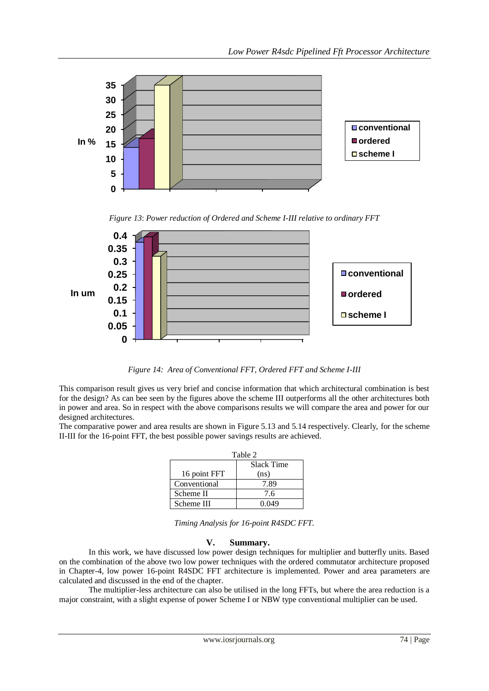

*Figure 14: Area of Conventional FFT, Ordered FFT and Scheme I-III*

This comparison result gives us very brief and concise information that which architectural combination is best for the design? As can bee seen by the figures above the scheme III outperforms all the other architectures both in power and area. So in respect with the above comparisons results we will compare the area and power for our designed architectures.

The comparative power and area results are shown in Figure 5.13 and 5.14 respectively. Clearly, for the scheme II-III for the 16-point FFT, the best possible power savings results are achieved.

| Table 2      |                   |  |  |  |  |  |
|--------------|-------------------|--|--|--|--|--|
|              | <b>Slack Time</b> |  |  |  |  |  |
| 16 point FFT | (ns)              |  |  |  |  |  |
| Conventional | 7.89              |  |  |  |  |  |
| Scheme II    | 7.6               |  |  |  |  |  |
| Scheme III   | 0.049             |  |  |  |  |  |

*Timing Analysis for 16-point R4SDC FFT.*

#### **V. Summary.**

In this work, we have discussed low power design techniques for multiplier and butterfly units. Based on the combination of the above two low power techniques with the ordered commutator architecture proposed in Chapter-4, low power 16-point R4SDC FFT architecture is implemented. Power and area parameters are calculated and discussed in the end of the chapter.

The multiplier-less architecture can also be utilised in the long FFTs, but where the area reduction is a major constraint, with a slight expense of power Scheme I or NBW type conventional multiplier can be used.